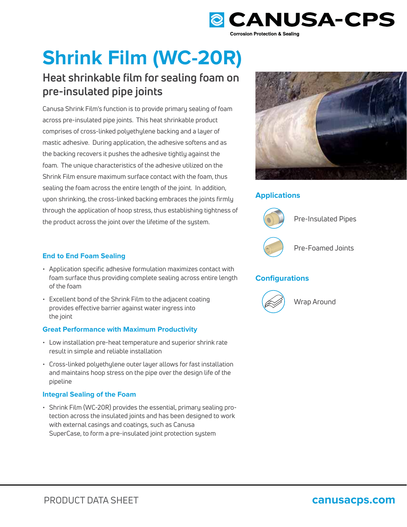

# **Shrink Film (WC-20R)**

# **Heat shrinkable film for sealing foam on pre-insulated pipe joints**

Canusa Shrink Film's function is to provide primary sealing of foam across pre-insulated pipe joints. This heat shrinkable product comprises of cross-linked polyethylene backing and a layer of mastic adhesive. During application, the adhesive softens and as the backing recovers it pushes the adhesive tightly against the foam. The unique characteristics of the adhesive utilized on the Shrink Film ensure maximum surface contact with the foam, thus sealing the foam across the entire length of the joint. In addition, upon shrinking, the cross-linked backing embraces the joints firmly through the application of hoop stress, thus establishing tightness of the product across the joint over the lifetime of the system.



## **Applications**



## **Configurations**



Wrap Around

### **End to End Foam Sealing**

- Application specific adhesive formulation maximizes contact with foam surface thus providing complete sealing across entire length of the foam
- Excellent bond of the Shrink Film to the adjacent coating provides effective barrier against water ingress into the joint

### **Great Performance with Maximum Productivity**

- Low installation pre-heat temperature and superior shrink rate result in simple and reliable installation
- Cross-linked polyethylene outer layer allows for fast installation and maintains hoop stress on the pipe over the design life of the pipeline

### **Integral Sealing of the Foam**

• Shrink Film (WC-20R) provides the essential, primary sealing protection across the insulated joints and has been designed to work with external casings and coatings, such as Canusa SuperCase, to form a pre-insulated joint protection system